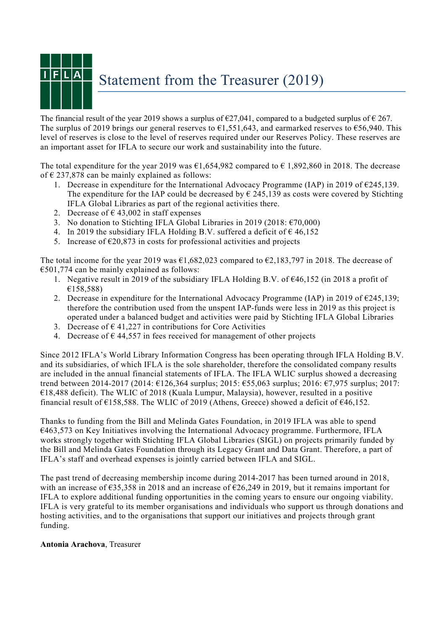

The financial result of the year 2019 shows a surplus of  $\epsilon$ 27,041, compared to a budgeted surplus of  $\epsilon$  267. The surplus of 2019 brings our general reserves to  $\epsilon$ 1,551,643, and earmarked reserves to  $\epsilon$ 56,940. This level of reserves is close to the level of reserves required under our Reserves Policy. These reserves are an important asset for IFLA to secure our work and sustainability into the future.

The total expenditure for the year 2019 was  $\epsilon$ 1,654,982 compared to  $\epsilon$  1,892,860 in 2018. The decrease of  $\epsilon$  237,878 can be mainly explained as follows:

- 1. Decrease in expenditure for the International Advocacy Programme (IAP) in 2019 of  $\epsilon$ 245,139. The expenditure for the IAP could be decreased by  $\epsilon$  245,139 as costs were covered by Stichting IFLA Global Libraries as part of the regional activities there.
- 2. Decrease of  $\epsilon$  43,002 in staff expenses
- 3. No donation to Stichting IFLA Global Libraries in 2019 (2018:  $\epsilon$ 70,000)
- 4. In 2019 the subsidiary IFLA Holding B.V. suffered a deficit of  $\epsilon$  46,152
- 5. Increase of  $\epsilon$ 20,873 in costs for professional activities and projects

The total income for the year 2019 was  $\epsilon$ 1,682,023 compared to  $\epsilon$ 2,183,797 in 2018. The decrease of  $\epsilon$ 501,774 can be mainly explained as follows:

- 1. Negative result in 2019 of the subsidiary IFLA Holding B.V. of  $\epsilon$ 46,152 (in 2018 a profit of €158,588)
- 2. Decrease in expenditure for the International Advocacy Programme (IAP) in 2019 of  $\epsilon$ 245,139; therefore the contribution used from the unspent IAP-funds were less in 2019 as this project is operated under a balanced budget and activities were paid by Stichting IFLA Global Libraries
- 3. Decrease of  $\epsilon$  41,227 in contributions for Core Activities
- 4. Decrease of  $\epsilon$  44,557 in fees received for management of other projects

Since 2012 IFLA's World Library Information Congress has been operating through IFLA Holding B.V. and its subsidiaries, of which IFLA is the sole shareholder, therefore the consolidated company results are included in the annual financial statements of IFLA. The IFLA WLIC surplus showed a decreasing trend between 2014-2017 (2014: €126,364 surplus; 2015: €55,063 surplus; 2016: €7,975 surplus; 2017:  $€18,488$  deficit). The WLIC of 2018 (Kuala Lumpur, Malaysia), however, resulted in a positive financial result of  $\epsilon$ 158,588. The WLIC of 2019 (Athens, Greece) showed a deficit of  $\epsilon$ 46,152.

Thanks to funding from the Bill and Melinda Gates Foundation, in 2019 IFLA was able to spend €463,573 on Key Initiatives involving the International Advocacy programme. Furthermore, IFLA works strongly together with Stichting IFLA Global Libraries (SIGL) on projects primarily funded by the Bill and Melinda Gates Foundation through its Legacy Grant and Data Grant. Therefore, a part of IFLA's staff and overhead expenses is jointly carried between IFLA and SIGL.

The past trend of decreasing membership income during 2014-2017 has been turned around in 2018, with an increase of  $\epsilon$ 35,358 in 2018 and an increase of  $\epsilon$ 26,249 in 2019, but it remains important for IFLA to explore additional funding opportunities in the coming years to ensure our ongoing viability. IFLA is very grateful to its member organisations and individuals who support us through donations and hosting activities, and to the organisations that support our initiatives and projects through grant funding.

## **Antonia Arachova**, Treasurer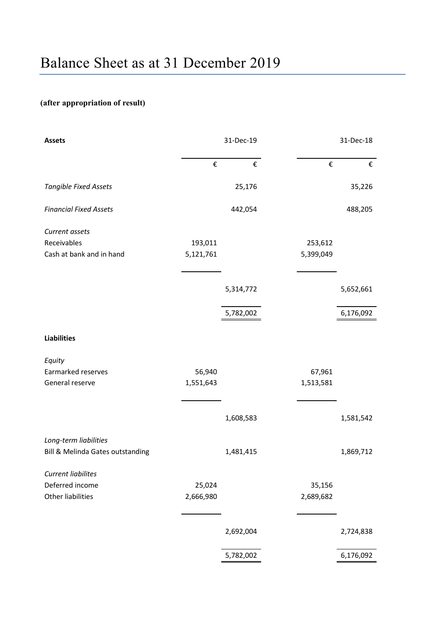## **(after appropriation of result)**

| 31-Dec-19 |           | 31-Dec-18 |           |
|-----------|-----------|-----------|-----------|
| €         | €         | €         | €         |
|           | 25,176    |           | 35,226    |
|           | 442,054   |           | 488,205   |
|           |           |           |           |
| 193,011   |           | 253,612   |           |
| 5,121,761 |           | 5,399,049 |           |
|           |           |           |           |
|           | 5,314,772 |           | 5,652,661 |
|           |           |           | 6,176,092 |
|           |           |           |           |
|           |           |           |           |
|           |           |           |           |
| 56,940    |           | 67,961    |           |
| 1,551,643 |           | 1,513,581 |           |
|           |           |           |           |
|           | 1,608,583 |           | 1,581,542 |
|           |           |           |           |
|           | 1,481,415 |           | 1,869,712 |
|           |           |           |           |
| 25,024    |           | 35,156    |           |
| 2,666,980 |           | 2,689,682 |           |
|           |           |           |           |
|           | 2,692,004 |           | 2,724,838 |
|           | 5,782,002 |           | 6,176,092 |
|           |           | 5,782,002 |           |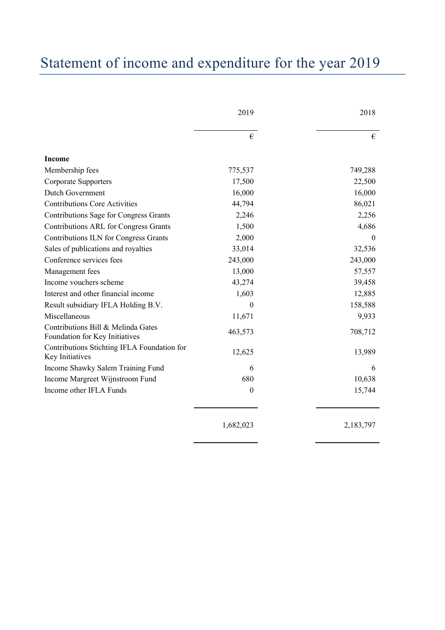## Statement of income and expenditure for the year 2019

|                                                                      | 2019             | 2018      |
|----------------------------------------------------------------------|------------------|-----------|
|                                                                      | €                | €         |
| <b>Income</b>                                                        |                  |           |
| Membership fees                                                      | 775,537          | 749,288   |
| <b>Corporate Supporters</b>                                          | 17,500           | 22,500    |
| Dutch Government                                                     | 16,000           | 16,000    |
| <b>Contributions Core Activities</b>                                 | 44,794           | 86,021    |
| Contributions Sage for Congress Grants                               | 2,246            | 2,256     |
| Contributions ARL for Congress Grants                                | 1,500            | 4,686     |
| Contributions ILN for Congress Grants                                | 2,000            | $\Omega$  |
| Sales of publications and royalties                                  | 33,014           | 32,536    |
| Conference services fees                                             | 243,000          | 243,000   |
| Management fees                                                      | 13,000           | 57,557    |
| Income vouchers scheme                                               | 43,274           | 39,458    |
| Interest and other financial income                                  | 1,603            | 12,885    |
| Result subsidiary IFLA Holding B.V.                                  | $\boldsymbol{0}$ | 158,588   |
| Miscellaneous                                                        | 11,671           | 9,933     |
| Contributions Bill & Melinda Gates<br>Foundation for Key Initiatives | 463,573          | 708,712   |
| Contributions Stichting IFLA Foundation for<br>Key Initiatives       | 12,625           | 13,989    |
| Income Shawky Salem Training Fund                                    | 6                | 6         |
| Income Margreet Wijnstroom Fund                                      | 680              | 10,638    |
| Income other IFLA Funds                                              | $\mathbf{0}$     | 15,744    |
|                                                                      | 1,682,023        | 2,183,797 |